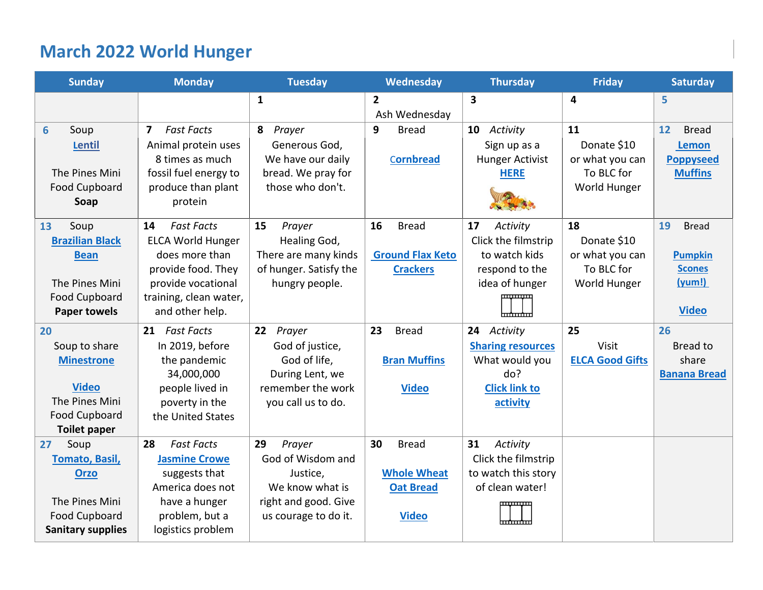# **March 2022 World Hunger**

<span id="page-0-0"></span>

| <b>Sunday</b>                               | <b>Monday</b>                       | <b>Tuesday</b>         | Wednesday               | <b>Thursday</b>          | <b>Friday</b>          | <b>Saturday</b>     |
|---------------------------------------------|-------------------------------------|------------------------|-------------------------|--------------------------|------------------------|---------------------|
|                                             |                                     | $\mathbf{1}$           | $\overline{2}$          | 3                        | 4                      | 5                   |
|                                             |                                     |                        | Ash Wednesday           |                          |                        |                     |
| 6<br>Soup                                   | <b>Fast Facts</b><br>$\overline{7}$ | Prayer<br>8            | 9<br><b>Bread</b>       | Activity<br>10           | 11                     | 12<br><b>Bread</b>  |
| Lentil                                      | Animal protein uses                 | Generous God,          |                         | Sign up as a             | Donate \$10            | <b>Lemon</b>        |
|                                             | 8 times as much                     | We have our daily      | Cornbread               | <b>Hunger Activist</b>   | or what you can        | <b>Poppyseed</b>    |
| The Pines Mini                              | fossil fuel energy to               | bread. We pray for     |                         | <b>HERE</b>              | To BLC for             | <b>Muffins</b>      |
| <b>Food Cupboard</b>                        | produce than plant                  | those who don't.       |                         |                          | World Hunger           |                     |
| Soap                                        | protein                             |                        |                         |                          |                        |                     |
| Soup<br>13                                  | <b>Fast Facts</b><br>14             | 15<br>Prayer           | 16<br><b>Bread</b>      | 17<br>Activity           | 18                     | 19<br><b>Bread</b>  |
| <b>Brazilian Black</b>                      | <b>ELCA World Hunger</b>            | Healing God,           |                         | Click the filmstrip      | Donate \$10            |                     |
| <b>Bean</b>                                 | does more than                      | There are many kinds   | <b>Ground Flax Keto</b> | to watch kids            | or what you can        | <b>Pumpkin</b>      |
|                                             | provide food. They                  | of hunger. Satisfy the | <b>Crackers</b>         | respond to the           | To BLC for             | <b>Scones</b>       |
| The Pines Mini                              | provide vocational                  | hungry people.         |                         | idea of hunger           | World Hunger           | (yum!)              |
| <b>Food Cupboard</b>                        | training, clean water,              |                        |                         |                          |                        |                     |
| <b>Paper towels</b>                         | and other help.                     |                        |                         |                          |                        | <b>Video</b>        |
| 20                                          | 21 Fast Facts                       | 22<br>Prayer           | 23<br><b>Bread</b>      | 24 Activity              | 25                     | 26                  |
| Soup to share                               | In 2019, before                     | God of justice,        |                         | <b>Sharing resources</b> | Visit                  | Bread to            |
| <b>Minestrone</b>                           | the pandemic                        | God of life,           | <b>Bran Muffins</b>     | What would you           | <b>ELCA Good Gifts</b> | share               |
|                                             | 34,000,000                          | During Lent, we        |                         | do?                      |                        | <b>Banana Bread</b> |
| <b>Video</b>                                | people lived in                     | remember the work      | <b>Video</b>            | <b>Click link to</b>     |                        |                     |
| The Pines Mini                              | poverty in the                      | you call us to do.     |                         | activity                 |                        |                     |
| <b>Food Cupboard</b><br><b>Toilet paper</b> | the United States                   |                        |                         |                          |                        |                     |
| Soup<br>27                                  | <b>Fast Facts</b><br>28             | 29<br>Prayer           | 30<br><b>Bread</b>      | 31<br>Activity           |                        |                     |
| <b>Tomato, Basil,</b>                       | <b>Jasmine Crowe</b>                | God of Wisdom and      |                         | Click the filmstrip      |                        |                     |
| <b>Orzo</b>                                 | suggests that                       | Justice,               | <b>Whole Wheat</b>      | to watch this story      |                        |                     |
|                                             | America does not                    | We know what is        | <b>Oat Bread</b>        | of clean water!          |                        |                     |
| The Pines Mini                              | have a hunger                       | right and good. Give   |                         |                          |                        |                     |
| <b>Food Cupboard</b>                        | problem, but a                      | us courage to do it.   | <b>Video</b>            |                          |                        |                     |
| <b>Sanitary supplies</b>                    | logistics problem                   |                        |                         |                          |                        |                     |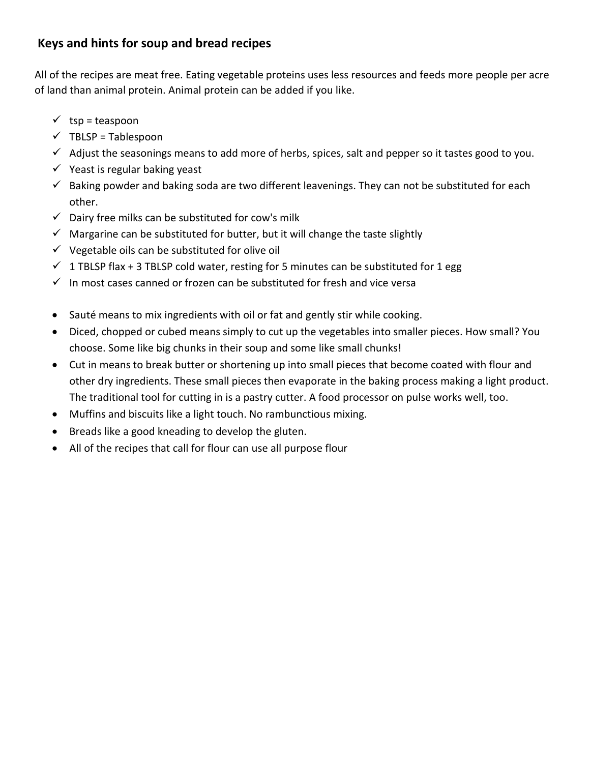# **Keys and hints for soup and bread recipes**

All of the recipes are meat free. Eating vegetable proteins uses less resources and feeds more people per acre of land than animal protein. Animal protein can be added if you like.

- $\checkmark$  tsp = teaspoon
- $\checkmark$  TBLSP = Tablespoon
- ✓ Adjust the seasonings means to add more of herbs, spices, salt and pepper so it tastes good to you.
- $\checkmark$  Yeast is regular baking yeast
- $\checkmark$  Baking powder and baking soda are two different leavenings. They can not be substituted for each other.
- $\checkmark$  Dairy free milks can be substituted for cow's milk
- $\checkmark$  Margarine can be substituted for butter, but it will change the taste slightly
- $\checkmark$  Vegetable oils can be substituted for olive oil
- $\checkmark$  1 TBLSP flax + 3 TBLSP cold water, resting for 5 minutes can be substituted for 1 egg
- $\checkmark$  In most cases canned or frozen can be substituted for fresh and vice versa
- Sauté means to mix ingredients with oil or fat and gently stir while cooking.
- Diced, chopped or cubed means simply to cut up the vegetables into smaller pieces. How small? You choose. Some like big chunks in their soup and some like small chunks!
- Cut in means to break butter or shortening up into small pieces that become coated with flour and other dry ingredients. These small pieces then evaporate in the baking process making a light product. The traditional tool for cutting in is a pastry cutter. A food processor on pulse works well, too.
- Muffins and biscuits like a light touch. No rambunctious mixing.
- Breads like a good kneading to develop the gluten.
- All of the recipes that call for flour can use all purpose flour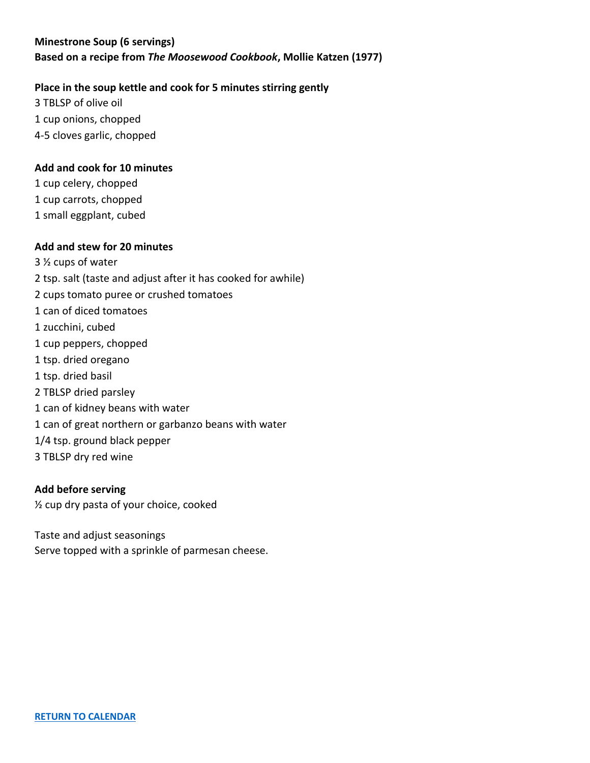# <span id="page-2-0"></span>**Minestrone Soup (6 servings) Based on a recipe from** *The Moosewood Cookbook***, Mollie Katzen (1977)**

# **Place in the soup kettle and cook for 5 minutes stirring gently**

3 TBLSP of olive oil 1 cup onions, chopped 4-5 cloves garlic, chopped

# **Add and cook for 10 minutes**

1 cup celery, chopped 1 cup carrots, chopped 1 small eggplant, cubed

### **Add and stew for 20 minutes**

3 ½ cups of water 2 tsp. salt (taste and adjust after it has cooked for awhile) 2 cups tomato puree or crushed tomatoes 1 can of diced tomatoes 1 zucchini, cubed 1 cup peppers, chopped 1 tsp. dried oregano 1 tsp. dried basil 2 TBLSP dried parsley 1 can of kidney beans with water 1 can of great northern or garbanzo beans with water 1/4 tsp. ground black pepper 3 TBLSP dry red wine

### **Add before serving**

½ cup dry pasta of your choice, cooked

Taste and adjust seasonings Serve topped with a sprinkle of parmesan cheese.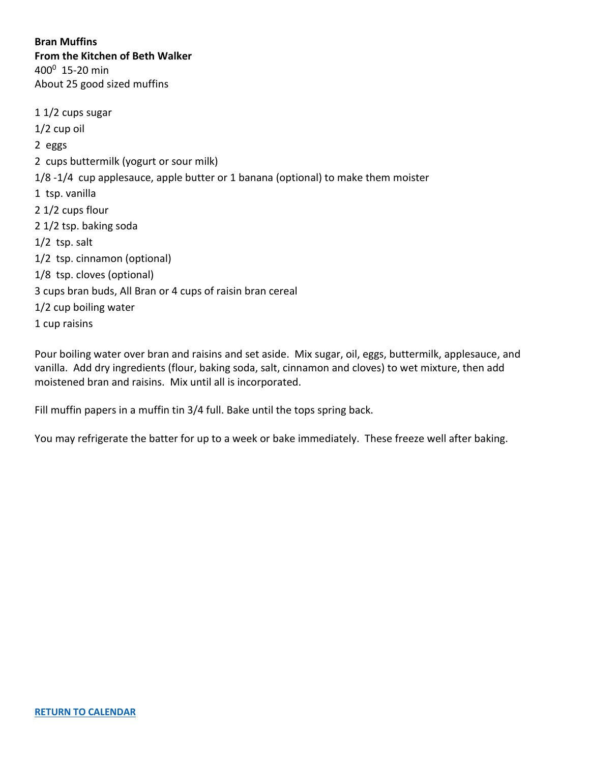<span id="page-3-0"></span>**Bran Muffins From the Kitchen of Beth Walker**  $400^0$  15-20 min About 25 good sized muffins

1 1/2 cups sugar 1/2 cup oil 2 eggs 2 cups buttermilk (yogurt or sour milk) 1/8 -1/4 cup applesauce, apple butter or 1 banana (optional) to make them moister 1 tsp. vanilla 2 1/2 cups flour 2 1/2 tsp. baking soda 1/2 tsp. salt 1/2 tsp. cinnamon (optional) 1/8 tsp. cloves (optional) 3 cups bran buds, All Bran or 4 cups of raisin bran cereal 1/2 cup boiling water 1 cup raisins

Pour boiling water over bran and raisins and set aside. Mix sugar, oil, eggs, buttermilk, applesauce, and vanilla. Add dry ingredients (flour, baking soda, salt, cinnamon and cloves) to wet mixture, then add moistened bran and raisins. Mix until all is incorporated.

Fill muffin papers in a muffin tin 3/4 full. Bake until the tops spring back.

You may refrigerate the batter for up to a week or bake immediately. These freeze well after baking.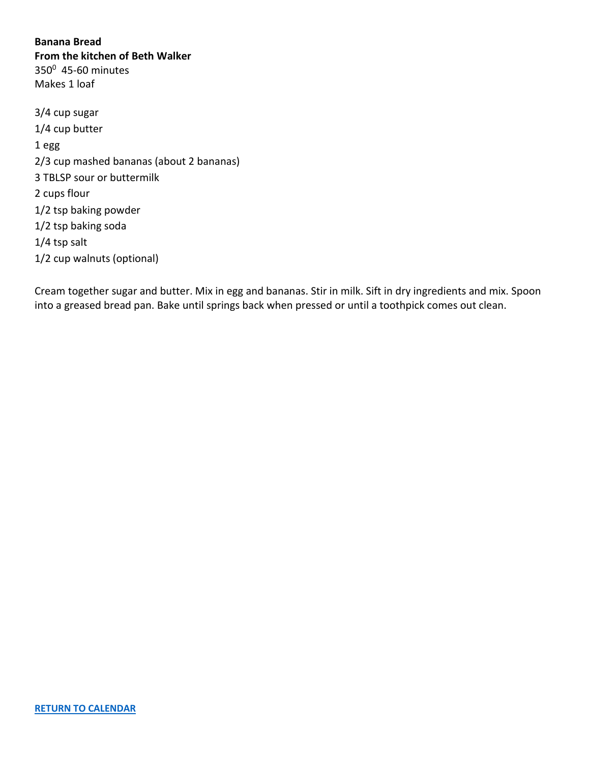<span id="page-4-0"></span>**Banana Bread From the kitchen of Beth Walker** 350<sup>0</sup> 45-60 minutes Makes 1 loaf

3/4 cup sugar 1/4 cup butter 1 egg 2/3 cup mashed bananas (about 2 bananas) 3 TBLSP sour or buttermilk 2 cups flour 1/2 tsp baking powder 1/2 tsp baking soda 1/4 tsp salt 1/2 cup walnuts (optional)

Cream together sugar and butter. Mix in egg and bananas. Stir in milk. Sift in dry ingredients and mix. Spoon into a greased bread pan. Bake until springs back when pressed or until a toothpick comes out clean.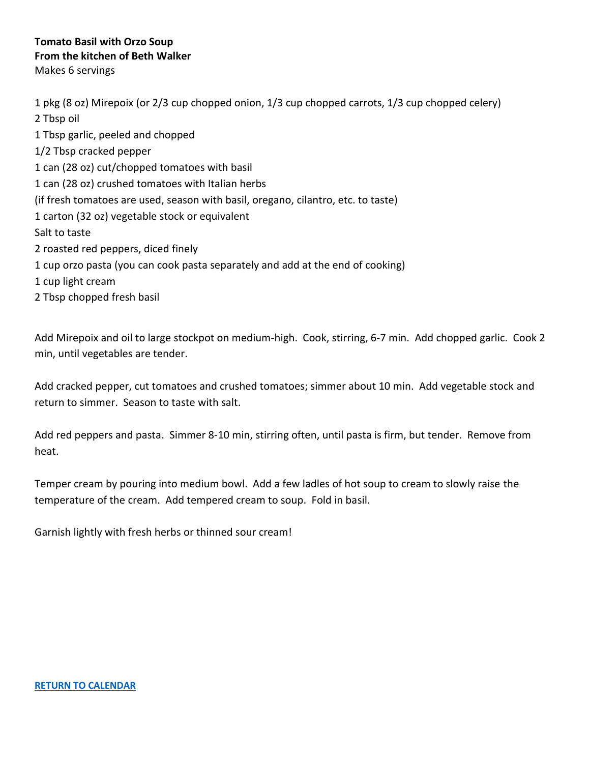# <span id="page-5-0"></span>**Tomato Basil with Orzo Soup From the kitchen of Beth Walker** Makes 6 servings

1 pkg (8 oz) Mirepoix (or 2/3 cup chopped onion, 1/3 cup chopped carrots, 1/3 cup chopped celery) 2 Tbsp oil 1 Tbsp garlic, peeled and chopped 1/2 Tbsp cracked pepper 1 can (28 oz) cut/chopped tomatoes with basil 1 can (28 oz) crushed tomatoes with Italian herbs (if fresh tomatoes are used, season with basil, oregano, cilantro, etc. to taste) 1 carton (32 oz) vegetable stock or equivalent Salt to taste 2 roasted red peppers, diced finely 1 cup orzo pasta (you can cook pasta separately and add at the end of cooking) 1 cup light cream 2 Tbsp chopped fresh basil

Add Mirepoix and oil to large stockpot on medium-high. Cook, stirring, 6-7 min. Add chopped garlic. Cook 2 min, until vegetables are tender.

Add cracked pepper, cut tomatoes and crushed tomatoes; simmer about 10 min. Add vegetable stock and return to simmer. Season to taste with salt.

Add red peppers and pasta. Simmer 8-10 min, stirring often, until pasta is firm, but tender. Remove from heat.

Temper cream by pouring into medium bowl. Add a few ladles of hot soup to cream to slowly raise the temperature of the cream. Add tempered cream to soup. Fold in basil.

Garnish lightly with fresh herbs or thinned sour cream!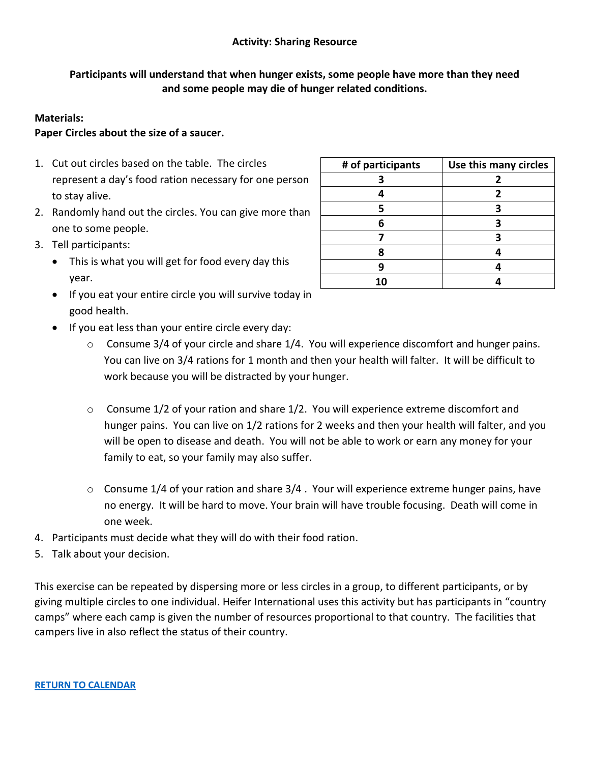# **Activity: Sharing Resource**

# <span id="page-6-0"></span>**Participants will understand that when hunger exists, some people have more than they need and some people may die of hunger related conditions.**

# **Materials:**

# **Paper Circles about the size of a saucer.**

- 1. Cut out circles based on the table. The circles represent a day's food ration necessary for one person to stay alive.
- 2. Randomly hand out the circles. You can give more than one to some people.
- 3. Tell participants:
	- This is what you will get for food every day this year.
	- If you eat your entire circle you will survive today in good health.
	- If you eat less than your entire circle every day:
		- o Consume 3/4 of your circle and share 1/4. You will experience discomfort and hunger pains. You can live on 3/4 rations for 1 month and then your health will falter. It will be difficult to work because you will be distracted by your hunger.
		- $\circ$  Consume 1/2 of your ration and share 1/2. You will experience extreme discomfort and hunger pains. You can live on 1/2 rations for 2 weeks and then your health will falter, and you will be open to disease and death. You will not be able to work or earn any money for your family to eat, so your family may also suffer.
		- $\circ$  Consume 1/4 of your ration and share 3/4. Your will experience extreme hunger pains, have no energy. It will be hard to move. Your brain will have trouble focusing. Death will come in one week.
- 4. Participants must decide what they will do with their food ration.
- 5. Talk about your decision.

This exercise can be repeated by dispersing more or less circles in a group, to different participants, or by giving multiple circles to one individual. Heifer International uses this activity but has participants in "country camps" where each camp is given the number of resources proportional to that country. The facilities that campers live in also reflect the status of their country.

| # of participants | Use this many circles |  |  |
|-------------------|-----------------------|--|--|
|                   | 2                     |  |  |
|                   | 2                     |  |  |
| ς                 |                       |  |  |
| հ                 |                       |  |  |
|                   |                       |  |  |
| R                 |                       |  |  |
| Q                 |                       |  |  |
|                   |                       |  |  |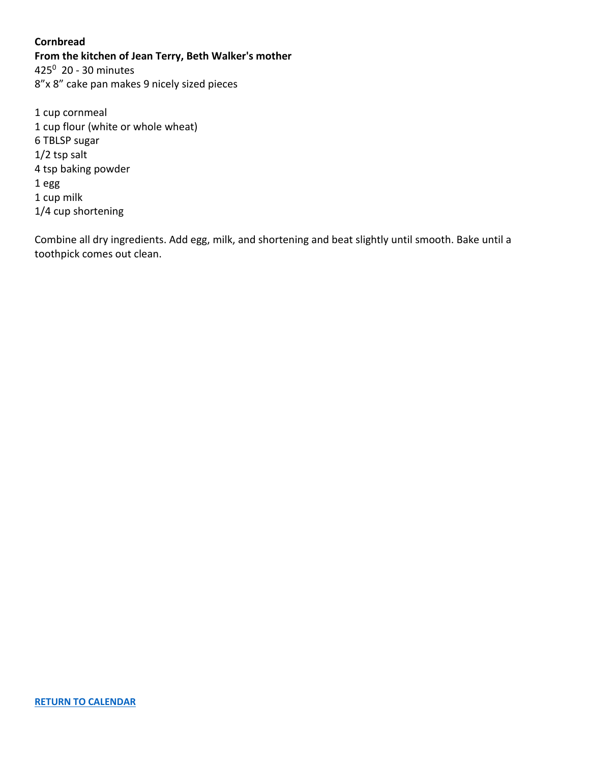### <span id="page-7-0"></span>**Cornbread**

**From the kitchen of Jean Terry, Beth Walker's mother**

425<sup>0</sup> 20 - 30 minutes 8"x 8" cake pan makes 9 nicely sized pieces

1 cup cornmeal 1 cup flour (white or whole wheat) 6 TBLSP sugar 1/2 tsp salt 4 tsp baking powder 1 egg 1 cup milk 1/4 cup shortening

Combine all dry ingredients. Add egg, milk, and shortening and beat slightly until smooth. Bake until a toothpick comes out clean.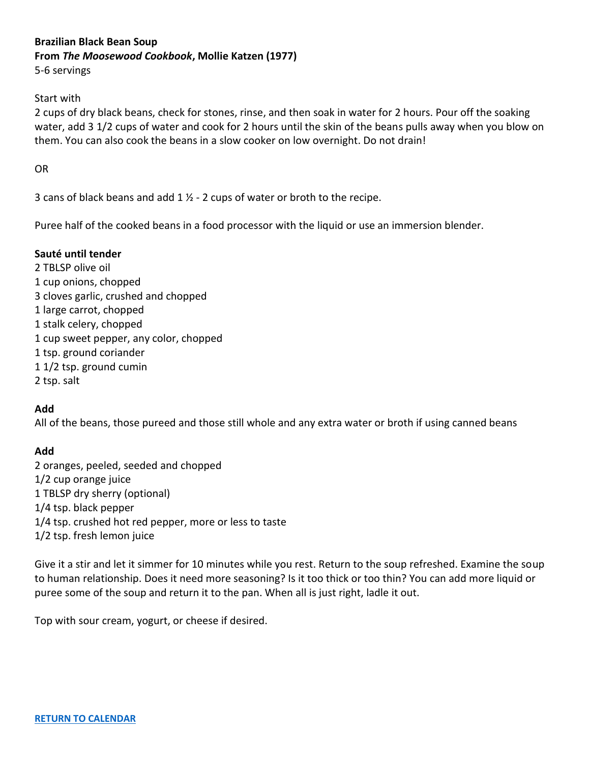# <span id="page-8-0"></span>**Brazilian Black Bean Soup**

**From** *The Moosewood Cookbook***, Mollie Katzen (1977)**

5-6 servings

# Start with

2 cups of dry black beans, check for stones, rinse, and then soak in water for 2 hours. Pour off the soaking water, add 3 1/2 cups of water and cook for 2 hours until the skin of the beans pulls away when you blow on them. You can also cook the beans in a slow cooker on low overnight. Do not drain!

OR

3 cans of black beans and add  $1 \frac{1}{2}$  - 2 cups of water or broth to the recipe.

Puree half of the cooked beans in a food processor with the liquid or use an immersion blender.

# **Sauté until tender**

2 TBLSP olive oil 1 cup onions, chopped 3 cloves garlic, crushed and chopped 1 large carrot, chopped 1 stalk celery, chopped 1 cup sweet pepper, any color, chopped 1 tsp. ground coriander 1 1/2 tsp. ground cumin 2 tsp. salt

# **Add**

All of the beans, those pureed and those still whole and any extra water or broth if using canned beans

# **Add**

2 oranges, peeled, seeded and chopped 1/2 cup orange juice 1 TBLSP dry sherry (optional) 1/4 tsp. black pepper 1/4 tsp. crushed hot red pepper, more or less to taste 1/2 tsp. fresh lemon juice

Give it a stir and let it simmer for 10 minutes while you rest. Return to the soup refreshed. Examine the soup to human relationship. Does it need more seasoning? Is it too thick or too thin? You can add more liquid or puree some of the soup and return it to the pan. When all is just right, ladle it out.

Top with sour cream, yogurt, or cheese if desired.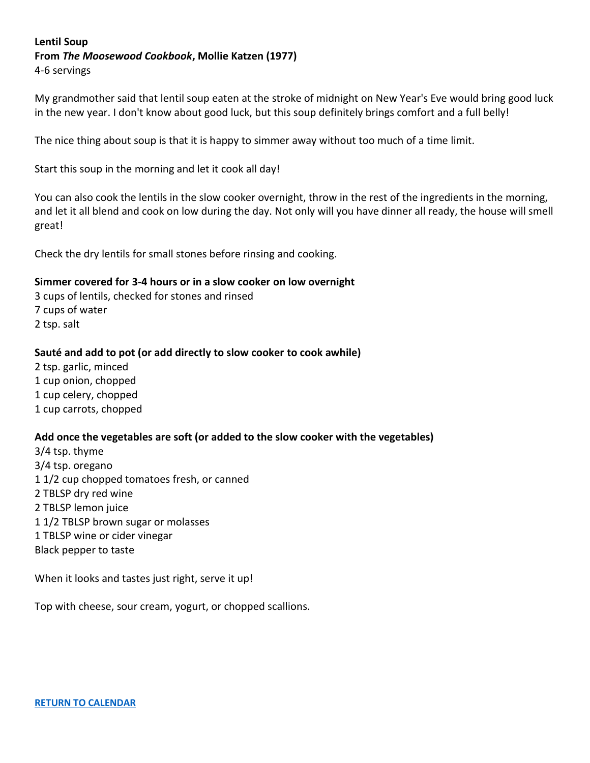### <span id="page-9-0"></span>**Lentil Soup From** *The Moosewood Cookbook***, Mollie Katzen (1977)** 4-6 servings

My grandmother said that lentil soup eaten at the stroke of midnight on New Year's Eve would bring good luck in the new year. I don't know about good luck, but this soup definitely brings comfort and a full belly!

The nice thing about soup is that it is happy to simmer away without too much of a time limit.

Start this soup in the morning and let it cook all day!

You can also cook the lentils in the slow cooker overnight, throw in the rest of the ingredients in the morning, and let it all blend and cook on low during the day. Not only will you have dinner all ready, the house will smell great!

Check the dry lentils for small stones before rinsing and cooking.

#### **Simmer covered for 3-4 hours or in a slow cooker on low overnight**

3 cups of lentils, checked for stones and rinsed 7 cups of water 2 tsp. salt

### **Sauté and add to pot (or add directly to slow cooker to cook awhile)**

2 tsp. garlic, minced 1 cup onion, chopped 1 cup celery, chopped 1 cup carrots, chopped

### **Add once the vegetables are soft (or added to the slow cooker with the vegetables)**

3/4 tsp. thyme 3/4 tsp. oregano 1 1/2 cup chopped tomatoes fresh, or canned 2 TBLSP dry red wine 2 TBLSP lemon juice 1 1/2 TBLSP brown sugar or molasses 1 TBLSP wine or cider vinegar Black pepper to taste

When it looks and tastes just right, serve it up!

Top with cheese, sour cream, yogurt, or chopped scallions.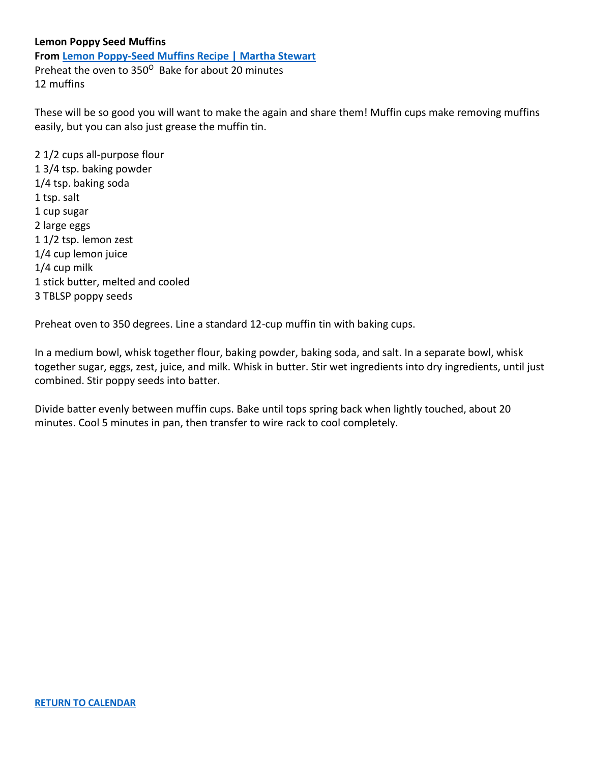#### <span id="page-10-0"></span>**Lemon Poppy Seed Muffins**

**Fro[m Lemon Poppy-Seed Muffins Recipe | Martha Stewart](https://www.marthastewart.com/1117167/lemon-poppy-seed-muffins)** Preheat the oven to 350<sup>°</sup> Bake for about 20 minutes 12 muffins

These will be so good you will want to make the again and share them! Muffin cups make removing muffins easily, but you can also just grease the muffin tin.

2 1/2 cups all-purpose flour 1 3/4 tsp. baking powder 1/4 tsp. baking soda 1 tsp. salt 1 cup sugar 2 large eggs 1 1/2 tsp. lemon zest 1/4 cup lemon juice 1/4 cup milk 1 stick butter, melted and cooled 3 TBLSP poppy seeds

Preheat oven to 350 degrees. Line a standard 12-cup muffin tin with baking cups.

In a medium bowl, whisk together flour, baking powder, baking soda, and salt. In a separate bowl, whisk together sugar, eggs, zest, juice, and milk. Whisk in butter. Stir wet ingredients into dry ingredients, until just combined. Stir poppy seeds into batter.

Divide batter evenly between muffin cups. Bake until tops spring back when lightly touched, about 20 minutes. Cool 5 minutes in pan, then transfer to wire rack to cool completely.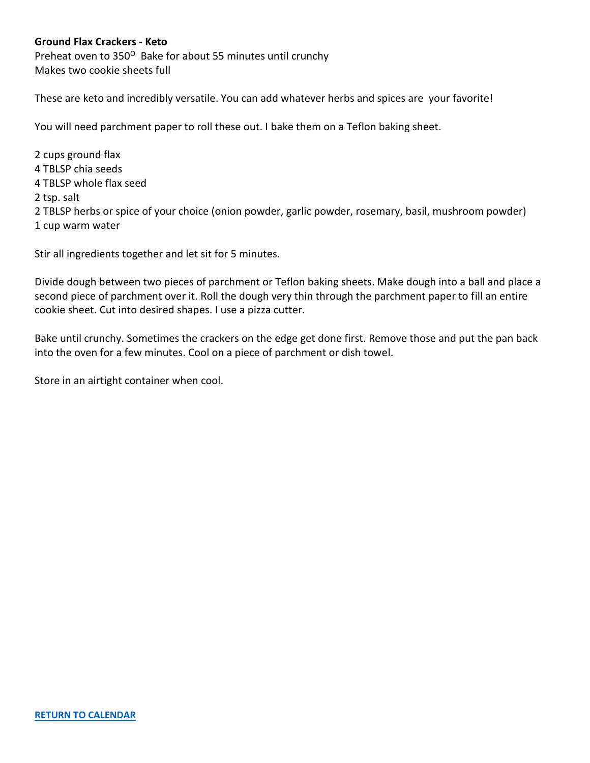# <span id="page-11-0"></span>**Ground Flax Crackers - Keto**

Preheat oven to 350° Bake for about 55 minutes until crunchy Makes two cookie sheets full

These are keto and incredibly versatile. You can add whatever herbs and spices are your favorite!

You will need parchment paper to roll these out. I bake them on a Teflon baking sheet.

2 cups ground flax 4 TBLSP chia seeds 4 TBLSP whole flax seed 2 tsp. salt 2 TBLSP herbs or spice of your choice (onion powder, garlic powder, rosemary, basil, mushroom powder) 1 cup warm water

Stir all ingredients together and let sit for 5 minutes.

Divide dough between two pieces of parchment or Teflon baking sheets. Make dough into a ball and place a second piece of parchment over it. Roll the dough very thin through the parchment paper to fill an entire cookie sheet. Cut into desired shapes. I use a pizza cutter.

Bake until crunchy. Sometimes the crackers on the edge get done first. Remove those and put the pan back into the oven for a few minutes. Cool on a piece of parchment or dish towel.

Store in an airtight container when cool.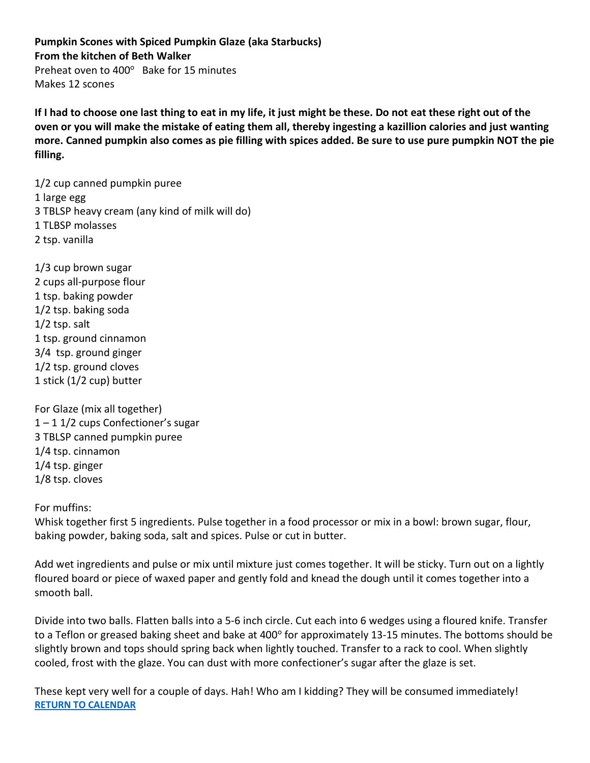<span id="page-12-0"></span>**Pumpkin Scones with Spiced Pumpkin Glaze (aka Starbucks) From the kitchen of Beth Walker** Preheat oven to 400° Bake for 15 minutes Makes 12 scones

**If I had to choose one last thing to eat in my life, it just might be these. Do not eat these right out of the oven or you will make the mistake of eating them all, thereby ingesting a kazillion calories and just wanting more. Canned pumpkin also comes as pie filling with spices added. Be sure to use pure pumpkin NOT the pie filling.**

1/2 cup canned pumpkin puree 1 large egg 3 TBLSP heavy cream (any kind of milk will do) 1 TLBSP molasses 2 tsp. vanilla

1/3 cup brown sugar 2 cups all-purpose flour 1 tsp. baking powder 1/2 tsp. baking soda 1/2 tsp. salt 1 tsp. ground cinnamon 3/4 tsp. ground ginger 1/2 tsp. ground cloves 1 stick (1/2 cup) butter

For Glaze (mix all together)  $1 - 1$  1/2 cups Confectioner's sugar 3 TBLSP canned pumpkin puree 1/4 tsp. cinnamon 1/4 tsp. ginger 1/8 tsp. cloves

For muffins:

Whisk together first 5 ingredients. Pulse together in a food processor or mix in a bowl: brown sugar, flour, baking powder, baking soda, salt and spices. Pulse or cut in butter.

Add wet ingredients and pulse or mix until mixture just comes together. It will be sticky. Turn out on a lightly floured board or piece of waxed paper and gently fold and knead the dough until it comes together into a smooth ball.

Divide into two balls. Flatten balls into a 5-6 inch circle. Cut each into 6 wedges using a floured knife. Transfer to a Teflon or greased baking sheet and bake at 400° for approximately 13-15 minutes. The bottoms should be slightly brown and tops should spring back when lightly touched. Transfer to a rack to cool. When slightly cooled, frost with the glaze. You can dust with more confectioner's sugar after the glaze is set.

These kept very well for a couple of days. Hah! Who am I kidding? They will be consumed immediately! **[RETURN TO CALENDAR](#page-0-0)**